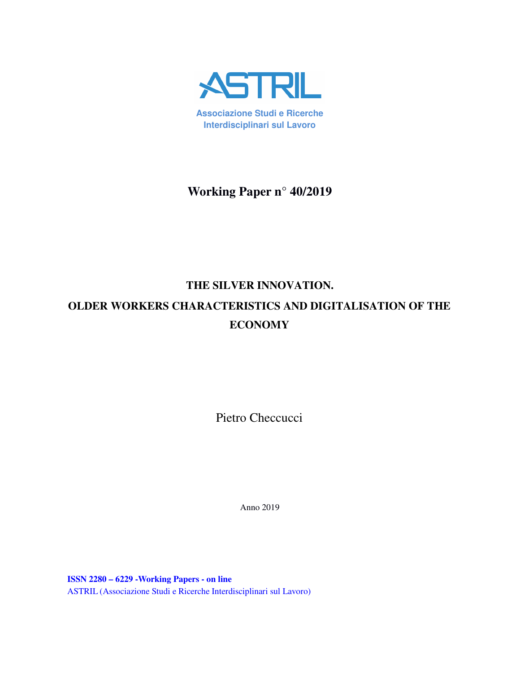

**Associazione Studi e Ricerche Interdisciplinari sul Lavoro**

**Working Paper n° 40/2019** 

# **THE SILVER INNOVATION. OLDER WORKERS CHARACTERISTICS AND DIGITALISATION OF THE ECONOMY**

Pietro Checcucci

Anno 2019

**ISSN 2280 – 6229 -Working Papers - on line** ASTRIL (Associazione Studi e Ricerche Interdisciplinari sul Lavoro)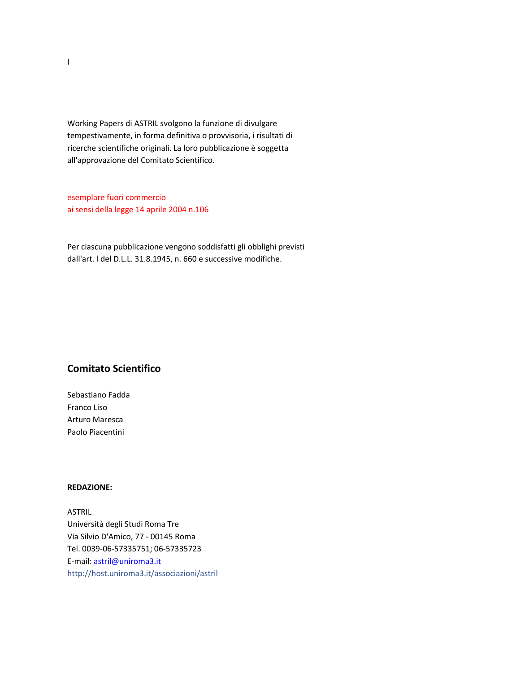Working Papers di ASTRIL svolgono la funzione di divulgare tempestivamente, in forma definitiva o provvisoria, i risultati di ricerche scientifiche originali. La loro pubblicazione è soggetta all'approvazione del Comitato Scientifico.

esemplare fuori commercio ai sensi della legge 14 aprile 2004 n.106

Per ciascuna pubblicazione vengono soddisfatti gli obblighi previsti dall'art. l del D.L.L. 31.8.1945, n. 660 e successive modifiche.

# **Comitato Scientifico**

Sebastiano Fadda Franco Liso Arturo Maresca Paolo Piacentini

#### **REDAZIONE:**

ASTRIL Università degli Studi Roma Tre Via Silvio D'Amico, 77 - 00145 Roma Tel. 0039-06-57335751; 06-57335723 E-mail: astril@uniroma3.it http://host.uniroma3.it/associazioni/astril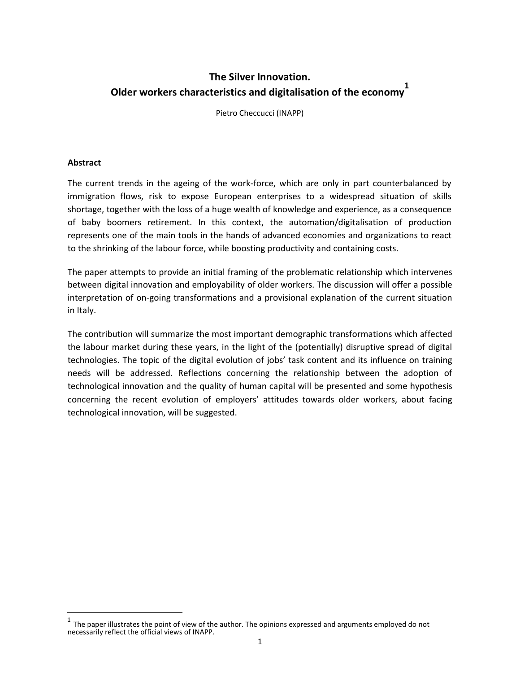# **The Silver Innovation. Older workers characteristics and digitalisation of the economy<sup>1</sup>**

Pietro Checcucci (INAPP)

## **Abstract**

The current trends in the ageing of the work-force, which are only in part counterbalanced by immigration flows, risk to expose European enterprises to a widespread situation of skills shortage, together with the loss of a huge wealth of knowledge and experience, as a consequence of baby boomers retirement. In this context, the automation/digitalisation of production represents one of the main tools in the hands of advanced economies and organizations to react to the shrinking of the labour force, while boosting productivity and containing costs.

The paper attempts to provide an initial framing of the problematic relationship which intervenes between digital innovation and employability of older workers. The discussion will offer a possible interpretation of on-going transformations and a provisional explanation of the current situation in Italy.

The contribution will summarize the most important demographic transformations which affected the labour market during these years, in the light of the (potentially) disruptive spread of digital technologies. The topic of the digital evolution of jobs' task content and its influence on training needs will be addressed. Reflections concerning the relationship between the adoption of technological innovation and the quality of human capital will be presented and some hypothesis concerning the recent evolution of employers' attitudes towards older workers, about facing technological innovation, will be suggested.

<sup>1</sup> The paper illustrates the point of view of the author. The opinions expressed and arguments employed do not necessarily reflect the official views of INAPP.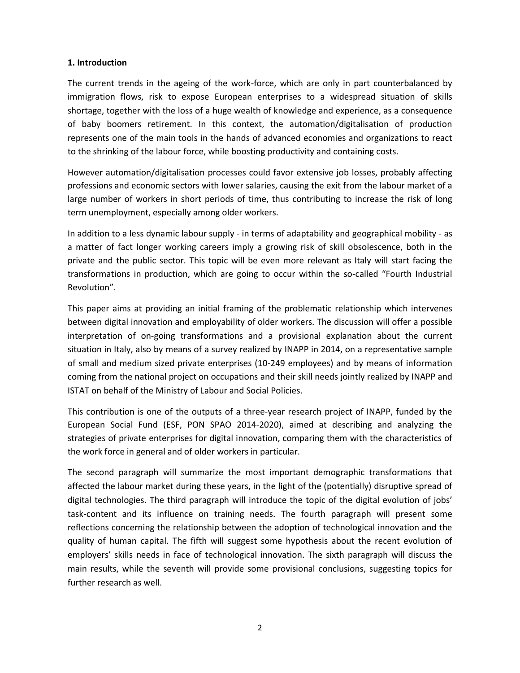#### **1. Introduction**

The current trends in the ageing of the work-force, which are only in part counterbalanced by immigration flows, risk to expose European enterprises to a widespread situation of skills shortage, together with the loss of a huge wealth of knowledge and experience, as a consequence of baby boomers retirement. In this context, the automation/digitalisation of production represents one of the main tools in the hands of advanced economies and organizations to react to the shrinking of the labour force, while boosting productivity and containing costs.

However automation/digitalisation processes could favor extensive job losses, probably affecting professions and economic sectors with lower salaries, causing the exit from the labour market of a large number of workers in short periods of time, thus contributing to increase the risk of long term unemployment, especially among older workers.

In addition to a less dynamic labour supply - in terms of adaptability and geographical mobility - as a matter of fact longer working careers imply a growing risk of skill obsolescence, both in the private and the public sector. This topic will be even more relevant as Italy will start facing the transformations in production, which are going to occur within the so-called "Fourth Industrial Revolution".

This paper aims at providing an initial framing of the problematic relationship which intervenes between digital innovation and employability of older workers. The discussion will offer a possible interpretation of on-going transformations and a provisional explanation about the current situation in Italy, also by means of a survey realized by INAPP in 2014, on a representative sample of small and medium sized private enterprises (10-249 employees) and by means of information coming from the national project on occupations and their skill needs jointly realized by INAPP and ISTAT on behalf of the Ministry of Labour and Social Policies.

This contribution is one of the outputs of a three-year research project of INAPP, funded by the European Social Fund (ESF, PON SPAO 2014-2020), aimed at describing and analyzing the strategies of private enterprises for digital innovation, comparing them with the characteristics of the work force in general and of older workers in particular.

The second paragraph will summarize the most important demographic transformations that affected the labour market during these years, in the light of the (potentially) disruptive spread of digital technologies. The third paragraph will introduce the topic of the digital evolution of jobs' task-content and its influence on training needs. The fourth paragraph will present some reflections concerning the relationship between the adoption of technological innovation and the quality of human capital. The fifth will suggest some hypothesis about the recent evolution of employers' skills needs in face of technological innovation. The sixth paragraph will discuss the main results, while the seventh will provide some provisional conclusions, suggesting topics for further research as well.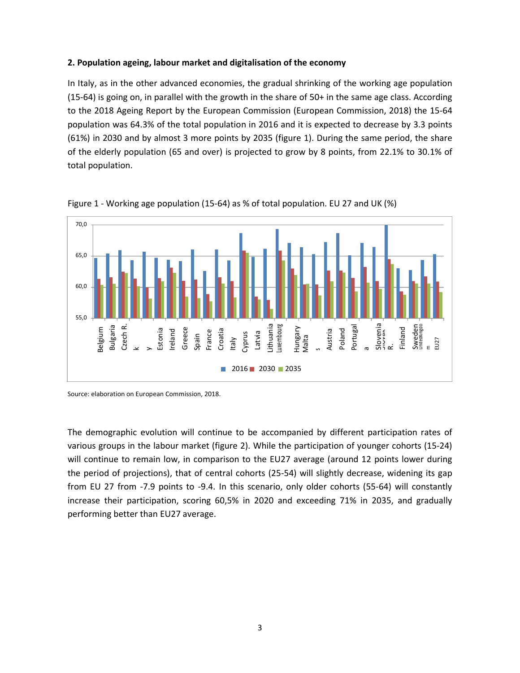## **2. Population ageing, labour market and digitalisation of the economy**

In Italy, as in the other advanced economies, the gradual shrinking of the working age population (15-64) is going on, in parallel with the growth in the share of 50+ in the same age class. According to the 2018 Ageing Report by the European Commission (European Commission, 2018) the 15-64 population was 64.3% of the total population in 2016 and it is expected to decrease by 3.3 points (61%) in 2030 and by almost 3 more points by 2035 (figure 1). During the same period, the share of the elderly population (65 and over) is projected to grow by 8 points, from 22.1% to 30.1% of total population.





Source: elaboration on European Commission, 2018.

The demographic evolution will continue to be accompanied by different participation rates of various groups in the labour market (figure 2). While the participation of younger cohorts (15-24) will continue to remain low, in comparison to the EU27 average (around 12 points lower during the period of projections), that of central cohorts (25-54) will slightly decrease, widening its gap from EU 27 from -7.9 points to -9.4. In this scenario, only older cohorts (55-64) will constantly increase their participation, scoring 60,5% in 2020 and exceeding 71% in 2035, and gradually performing better than EU27 average.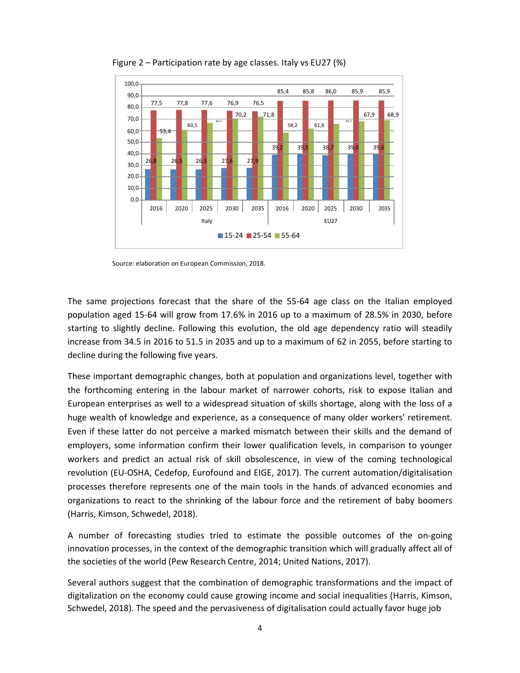

Figure 2 – Participation rate by age classes. Italy vs EU27 (%)

Source: elaboration on European Commission, 2018.

The same projections forecast that the share of the 55-64 age class on the Italian employed population aged 15-64 will grow from 17.6% in 2016 up to a maximum of 28.5% in 2030, before starting to slightly decline. Following this evolution, the old age dependency ratio will steadily increase from 34.5 in 2016 to 51.5 in 2035 and up to a maximum of 62 in 2055, before starting to decline during the following five years.

These important demographic changes, both at population and organizations level, together with the forthcoming entering in the labour market of narrower cohorts, risk to expose Italian and European enterprises as well to a widespread situation of skills shortage, along with the loss of a huge wealth of knowledge and experience, as a consequence of many older workers' retirement. Even if these latter do not perceive a marked mismatch between their skills and the demand of employers, some information confirm their lower qualification levels, in comparison to younger workers and predict an actual risk of skill obsolescence, in view of the coming technological revolution (EU-OSHA, Cedefop, Eurofound and EIGE, 2017). The current automation/digitalisation processes therefore represents one of the main tools in the hands of advanced economies and organizations to react to the shrinking of the labour force and the retirement of baby boomers (Harris, Kimson, Schwedel, 2018).

A number of forecasting studies tried to estimate the possible outcomes of the on-going innovation processes, in the context of the demographic transition which will gradually affect all of the societies of the world (Pew Research Centre, 2014; United Nations, 2017).

Several authors suggest that the combination of demographic transformations and the impact of digitalization on the economy could cause growing income and social inequalities (Harris, Kimson, Schwedel, 2018). The speed and the pervasiveness of digitalisation could actually favor huge job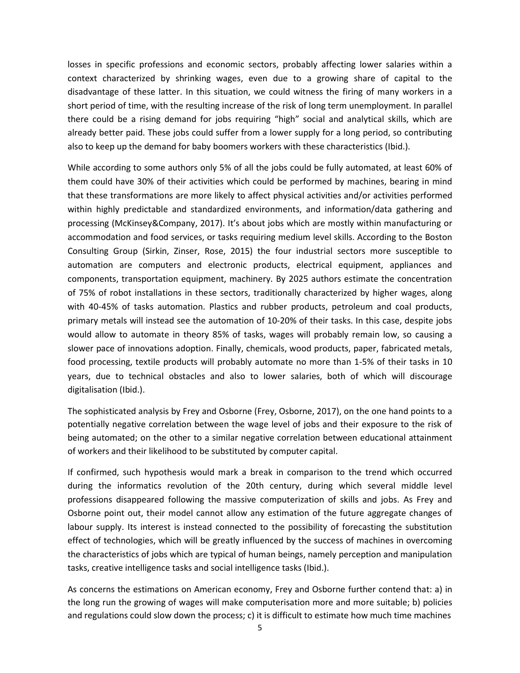losses in specific professions and economic sectors, probably affecting lower salaries within a context characterized by shrinking wages, even due to a growing share of capital to the disadvantage of these latter. In this situation, we could witness the firing of many workers in a short period of time, with the resulting increase of the risk of long term unemployment. In parallel there could be a rising demand for jobs requiring "high" social and analytical skills, which are already better paid. These jobs could suffer from a lower supply for a long period, so contributing also to keep up the demand for baby boomers workers with these characteristics (Ibid.).

While according to some authors only 5% of all the jobs could be fully automated, at least 60% of them could have 30% of their activities which could be performed by machines, bearing in mind that these transformations are more likely to affect physical activities and/or activities performed within highly predictable and standardized environments, and information/data gathering and processing (McKinsey&Company, 2017). It's about jobs which are mostly within manufacturing or accommodation and food services, or tasks requiring medium level skills. According to the Boston Consulting Group (Sirkin, Zinser, Rose, 2015) the four industrial sectors more susceptible to automation are computers and electronic products, electrical equipment, appliances and components, transportation equipment, machinery. By 2025 authors estimate the concentration of 75% of robot installations in these sectors, traditionally characterized by higher wages, along with 40-45% of tasks automation. Plastics and rubber products, petroleum and coal products, primary metals will instead see the automation of 10-20% of their tasks. In this case, despite jobs would allow to automate in theory 85% of tasks, wages will probably remain low, so causing a slower pace of innovations adoption. Finally, chemicals, wood products, paper, fabricated metals, food processing, textile products will probably automate no more than 1-5% of their tasks in 10 years, due to technical obstacles and also to lower salaries, both of which will discourage digitalisation (Ibid.).

The sophisticated analysis by Frey and Osborne (Frey, Osborne, 2017), on the one hand points to a potentially negative correlation between the wage level of jobs and their exposure to the risk of being automated; on the other to a similar negative correlation between educational attainment of workers and their likelihood to be substituted by computer capital.

If confirmed, such hypothesis would mark a break in comparison to the trend which occurred during the informatics revolution of the 20th century, during which several middle level professions disappeared following the massive computerization of skills and jobs. As Frey and Osborne point out, their model cannot allow any estimation of the future aggregate changes of labour supply. Its interest is instead connected to the possibility of forecasting the substitution effect of technologies, which will be greatly influenced by the success of machines in overcoming the characteristics of jobs which are typical of human beings, namely perception and manipulation tasks, creative intelligence tasks and social intelligence tasks (Ibid.).

As concerns the estimations on American economy, Frey and Osborne further contend that: a) in the long run the growing of wages will make computerisation more and more suitable; b) policies and regulations could slow down the process; c) it is difficult to estimate how much time machines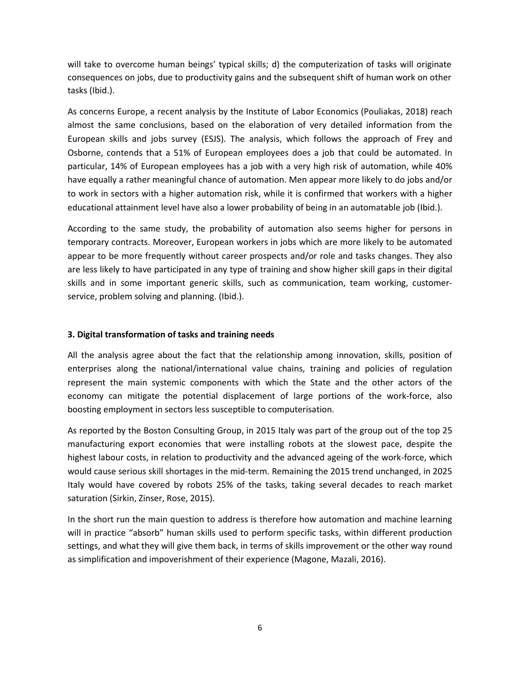will take to overcome human beings' typical skills; d) the computerization of tasks will originate consequences on jobs, due to productivity gains and the subsequent shift of human work on other tasks (Ibid.).

As concerns Europe, a recent analysis by the Institute of Labor Economics (Pouliakas, 2018) reach almost the same conclusions, based on the elaboration of very detailed information from the European skills and jobs survey (ESJS). The analysis, which follows the approach of Frey and Osborne, contends that a 51% of European employees does a job that could be automated. In particular, 14% of European employees has a job with a very high risk of automation, while 40% have equally a rather meaningful chance of automation. Men appear more likely to do jobs and/or to work in sectors with a higher automation risk, while it is confirmed that workers with a higher educational attainment level have also a lower probability of being in an automatable job (Ibid.).

According to the same study, the probability of automation also seems higher for persons in temporary contracts. Moreover, European workers in jobs which are more likely to be automated appear to be more frequently without career prospects and/or role and tasks changes. They also are less likely to have participated in any type of training and show higher skill gaps in their digital skills and in some important generic skills, such as communication, team working, customerservice, problem solving and planning. (Ibid.).

# **3. Digital transformation of tasks and training needs**

All the analysis agree about the fact that the relationship among innovation, skills, position of enterprises along the national/international value chains, training and policies of regulation represent the main systemic components with which the State and the other actors of the economy can mitigate the potential displacement of large portions of the work-force, also boosting employment in sectors less susceptible to computerisation.

As reported by the Boston Consulting Group, in 2015 Italy was part of the group out of the top 25 manufacturing export economies that were installing robots at the slowest pace, despite the highest labour costs, in relation to productivity and the advanced ageing of the work-force, which would cause serious skill shortages in the mid-term. Remaining the 2015 trend unchanged, in 2025 Italy would have covered by robots 25% of the tasks, taking several decades to reach market saturation (Sirkin, Zinser, Rose, 2015).

In the short run the main question to address is therefore how automation and machine learning will in practice "absorb" human skills used to perform specific tasks, within different production settings, and what they will give them back, in terms of skills improvement or the other way round as simplification and impoverishment of their experience (Magone, Mazali, 2016).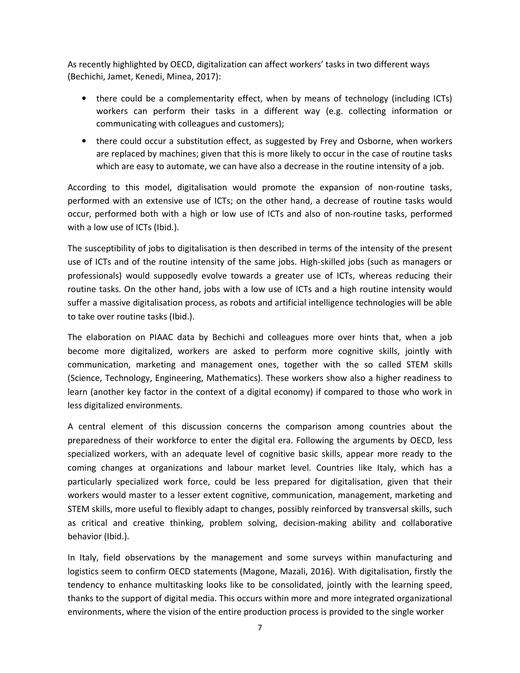As recently highlighted by OECD, digitalization can affect workers' tasks in two different ways (Bechichi, Jamet, Kenedi, Minea, 2017):

- there could be a complementarity effect, when by means of technology (including ICTs) workers can perform their tasks in a different way (e.g. collecting information or communicating with colleagues and customers);
- there could occur a substitution effect, as suggested by Frey and Osborne, when workers are replaced by machines; given that this is more likely to occur in the case of routine tasks which are easy to automate, we can have also a decrease in the routine intensity of a job.

According to this model, digitalisation would promote the expansion of non-routine tasks, performed with an extensive use of ICTs; on the other hand, a decrease of routine tasks would occur, performed both with a high or low use of ICTs and also of non-routine tasks, performed with a low use of ICTs (Ibid.).

The susceptibility of jobs to digitalisation is then described in terms of the intensity of the present use of ICTs and of the routine intensity of the same jobs. High-skilled jobs (such as managers or professionals) would supposedly evolve towards a greater use of ICTs, whereas reducing their routine tasks. On the other hand, jobs with a low use of ICTs and a high routine intensity would suffer a massive digitalisation process, as robots and artificial intelligence technologies will be able to take over routine tasks (Ibid.).

The elaboration on PIAAC data by Bechichi and colleagues more over hints that, when a job become more digitalized, workers are asked to perform more cognitive skills, jointly with communication, marketing and management ones, together with the so called STEM skills (Science, Technology, Engineering, Mathematics). These workers show also a higher readiness to learn (another key factor in the context of a digital economy) if compared to those who work in less digitalized environments.

A central element of this discussion concerns the comparison among countries about the preparedness of their workforce to enter the digital era. Following the arguments by OECD, less specialized workers, with an adequate level of cognitive basic skills, appear more ready to the coming changes at organizations and labour market level. Countries like Italy, which has a particularly specialized work force, could be less prepared for digitalisation, given that their workers would master to a lesser extent cognitive, communication, management, marketing and STEM skills, more useful to flexibly adapt to changes, possibly reinforced by transversal skills, such as critical and creative thinking, problem solving, decision-making ability and collaborative behavior (Ibid.).

In Italy, field observations by the management and some surveys within manufacturing and logistics seem to confirm OECD statements (Magone, Mazali, 2016). With digitalisation, firstly the tendency to enhance multitasking looks like to be consolidated, jointly with the learning speed, thanks to the support of digital media. This occurs within more and more integrated organizational environments, where the vision of the entire production process is provided to the single worker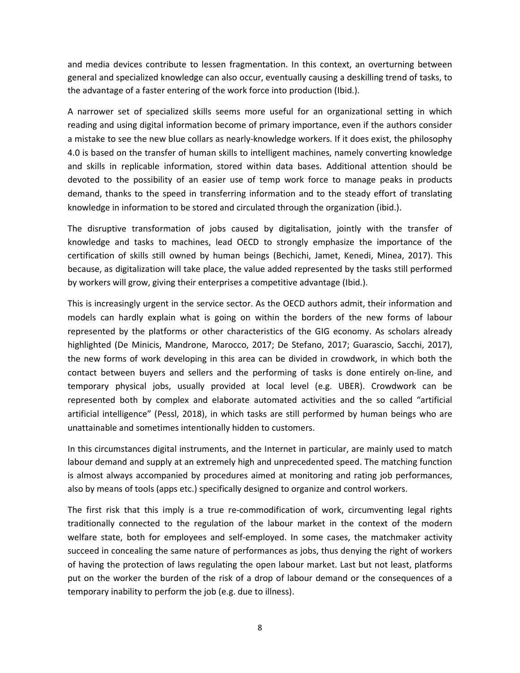and media devices contribute to lessen fragmentation. In this context, an overturning between general and specialized knowledge can also occur, eventually causing a deskilling trend of tasks, to the advantage of a faster entering of the work force into production (Ibid.).

A narrower set of specialized skills seems more useful for an organizational setting in which reading and using digital information become of primary importance, even if the authors consider a mistake to see the new blue collars as nearly-knowledge workers. If it does exist, the philosophy 4.0 is based on the transfer of human skills to intelligent machines, namely converting knowledge and skills in replicable information, stored within data bases. Additional attention should be devoted to the possibility of an easier use of temp work force to manage peaks in products demand, thanks to the speed in transferring information and to the steady effort of translating knowledge in information to be stored and circulated through the organization (ibid.).

The disruptive transformation of jobs caused by digitalisation, jointly with the transfer of knowledge and tasks to machines, lead OECD to strongly emphasize the importance of the certification of skills still owned by human beings (Bechichi, Jamet, Kenedi, Minea, 2017). This because, as digitalization will take place, the value added represented by the tasks still performed by workers will grow, giving their enterprises a competitive advantage (Ibid.).

This is increasingly urgent in the service sector. As the OECD authors admit, their information and models can hardly explain what is going on within the borders of the new forms of labour represented by the platforms or other characteristics of the GIG economy. As scholars already highlighted (De Minicis, Mandrone, Marocco, 2017; De Stefano, 2017; Guarascio, Sacchi, 2017), the new forms of work developing in this area can be divided in crowdwork, in which both the contact between buyers and sellers and the performing of tasks is done entirely on-line, and temporary physical jobs, usually provided at local level (e.g. UBER). Crowdwork can be represented both by complex and elaborate automated activities and the so called "artificial artificial intelligence" (Pessl, 2018), in which tasks are still performed by human beings who are unattainable and sometimes intentionally hidden to customers.

In this circumstances digital instruments, and the Internet in particular, are mainly used to match labour demand and supply at an extremely high and unprecedented speed. The matching function is almost always accompanied by procedures aimed at monitoring and rating job performances, also by means of tools (apps etc.) specifically designed to organize and control workers.

The first risk that this imply is a true re-commodification of work, circumventing legal rights traditionally connected to the regulation of the labour market in the context of the modern welfare state, both for employees and self-employed. In some cases, the matchmaker activity succeed in concealing the same nature of performances as jobs, thus denying the right of workers of having the protection of laws regulating the open labour market. Last but not least, platforms put on the worker the burden of the risk of a drop of labour demand or the consequences of a temporary inability to perform the job (e.g. due to illness).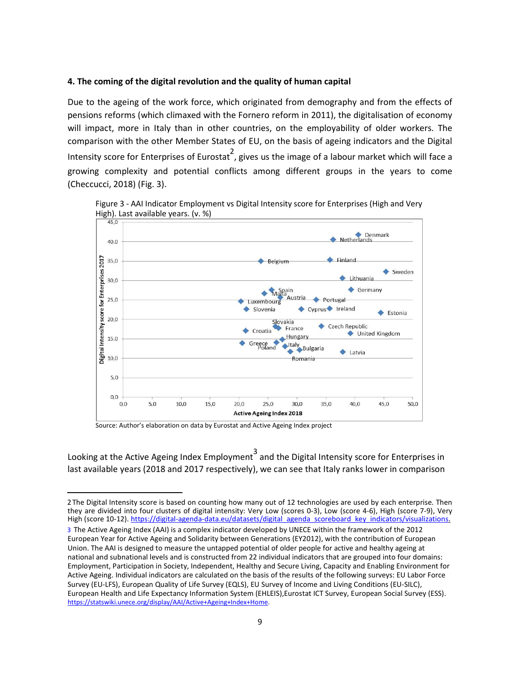#### **4. The coming of the digital revolution and the quality of human capital**

Due to the ageing of the work force, which originated from demography and from the effects of pensions reforms (which climaxed with the Fornero reform in 2011), the digitalisation of economy will impact, more in Italy than in other countries, on the employability of older workers. The comparison with the other Member States of EU, on the basis of ageing indicators and the Digital Intensity score for Enterprises of Eurostat<sup>2</sup>, gives us the image of a labour market which will face a growing complexity and potential conflicts among different groups in the years to come (Checcucci, 2018) (Fig. 3).





Source: Author's elaboration on data by Eurostat and Active Ageing Index project

Looking at the Active Ageing Index Employment  $\frac{3}{3}$  and the Digital Intensity score for Enterprises in last available years (2018 and 2017 respectively), we can see that Italy ranks lower in comparison

<sup>2</sup>The Digital Intensity score is based on counting how many out of 12 technologies are used by each enterprise. Then they are divided into four clusters of digital intensity: Very Low (scores 0-3), Low (score 4-6), High (score 7-9), Very High (score 10-12). https://digital-agenda-data.eu/datasets/digital\_agenda\_scoreboard\_key\_indicators/visualizations.

<sup>3</sup> The Active Ageing Index (AAI) is a complex indicator developed by UNECE within the framework of the 2012 European Year for Active Ageing and Solidarity between Generations (EY2012), with the contribution of European Union. The AAI is designed to measure the untapped potential of older people for active and healthy ageing at national and subnational levels and is constructed from 22 individual indicators that are grouped into four domains: Employment, Participation in Society, Independent, Healthy and Secure Living, Capacity and Enabling Environment for Active Ageing. Individual indicators are calculated on the basis of the results of the following surveys: EU Labor Force Survey (EU-LFS), European Quality of Life Survey (EQLS), EU Survey of Income and Living Conditions (EU-SILC), European Health and Life Expectancy Information System (EHLEIS),Eurostat ICT Survey, European Social Survey (ESS). https://statswiki.unece.org/display/AAI/Active+Ageing+Index+Home.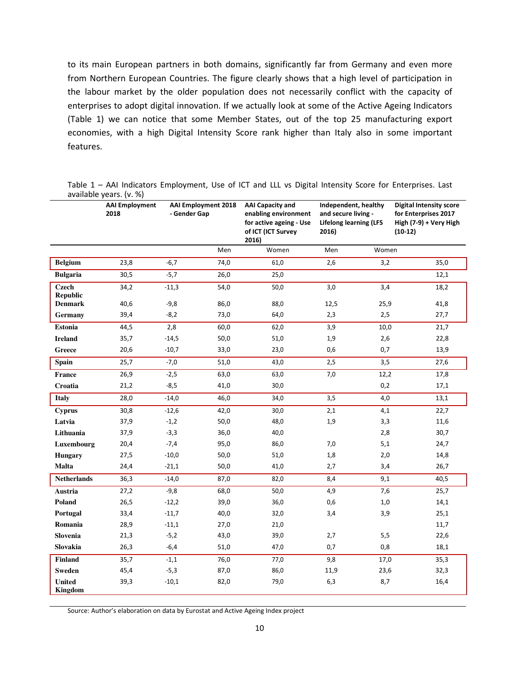to its main European partners in both domains, significantly far from Germany and even more from Northern European Countries. The figure clearly shows that a high level of participation in the labour market by the older population does not necessarily conflict with the capacity of enterprises to adopt digital innovation. If we actually look at some of the Active Ageing Indicators (Table 1) we can notice that some Member States, out of the top 25 manufacturing export economies, with a high Digital Intensity Score rank higher than Italy also in some important features.

Table 1 – AAI Indicators Employment, Use of ICT and LLL vs Digital Intensity Score for Enterprises. Last available years. (v. %)

|                                 | <b>AAI</b> Employment<br>2018 | avanabic years. $\mathbf{v}$ . 197<br><b>AAI Employment 2018</b><br>- Gender Gap |        | <b>AAI Capacity and</b><br>enabling environment<br>for active ageing - Use<br>of ICT (ICT Survey<br>2016) | Independent, healthy<br>and secure living -<br><b>Lifelong learning (LFS</b><br>2016) |       | <b>Digital Intensity score</b><br>for Enterprises 2017<br>High (7-9) + Very High<br>$(10-12)$ |  |
|---------------------------------|-------------------------------|----------------------------------------------------------------------------------|--------|-----------------------------------------------------------------------------------------------------------|---------------------------------------------------------------------------------------|-------|-----------------------------------------------------------------------------------------------|--|
|                                 |                               |                                                                                  | Men    | Women                                                                                                     | Men                                                                                   | Women |                                                                                               |  |
| <b>Belgium</b>                  | 23,8                          | $-6,7$                                                                           | 74,0   | 61,0                                                                                                      | 2,6                                                                                   | 3,2   | 35,0                                                                                          |  |
| <b>Bulgaria</b>                 | 30,5                          | $-5,7$                                                                           | 26,0   | 25,0                                                                                                      |                                                                                       |       | 12,1                                                                                          |  |
| <b>Czech</b><br><b>Republic</b> | 34,2                          | $-11,3$                                                                          | 54,0   | 50,0                                                                                                      | 3,0                                                                                   | 3,4   | 18,2                                                                                          |  |
| <b>Denmark</b>                  | 40,6                          | $-9,8$                                                                           | 86,0   | 88,0                                                                                                      | 12,5                                                                                  | 25,9  | 41,8                                                                                          |  |
| Germany                         | 39,4                          | $-8,2$                                                                           | 73,0   | 64,0                                                                                                      | 2,3                                                                                   | 2,5   | 27,7                                                                                          |  |
| <b>Estonia</b>                  | 44,5                          | 2,8                                                                              | 60,0   | 62,0                                                                                                      | 3,9                                                                                   | 10,0  | 21,7                                                                                          |  |
| <b>Ireland</b>                  | 35,7                          | $-14,5$                                                                          | 50,0   | 51,0                                                                                                      | 1,9                                                                                   | 2,6   | 22,8                                                                                          |  |
| Greece                          | 20,6                          | $-10,7$                                                                          | 33,0   | 23,0                                                                                                      | 0,6                                                                                   | 0,7   | 13,9                                                                                          |  |
| <b>Spain</b>                    | 25,7                          | $-7,0$                                                                           | 51,0   | 43,0                                                                                                      | 2,5                                                                                   | 3,5   | 27,6                                                                                          |  |
| France                          | 26,9                          | $-2,5$                                                                           | 63,0   | 63,0                                                                                                      | 7,0                                                                                   | 12,2  | 17,8                                                                                          |  |
| Croatia                         | 21,2                          | $-8,5$                                                                           | 41,0   | 30,0                                                                                                      |                                                                                       | 0,2   | 17,1                                                                                          |  |
| <b>Italy</b>                    | 28,0                          | $-14,0$                                                                          | 46,0   | 34,0                                                                                                      | 3,5                                                                                   | 4,0   | 13,1                                                                                          |  |
| <b>Cyprus</b>                   | 30,8                          | $-12,6$                                                                          | 42,0   | 30,0                                                                                                      | 2,1                                                                                   | 4,1   | 22,7                                                                                          |  |
| Latvia                          | 37,9                          | $-1,2$                                                                           | $50,0$ | 48,0                                                                                                      | 1,9                                                                                   | 3,3   | 11,6                                                                                          |  |
| Lithuania                       | 37,9                          | $-3,3$                                                                           | 36,0   | 40,0                                                                                                      |                                                                                       | 2,8   | 30,7                                                                                          |  |
| Luxembourg                      | 20,4                          | $-7,4$                                                                           | 95,0   | 86,0                                                                                                      | 7,0                                                                                   | 5,1   | 24,7                                                                                          |  |
| <b>Hungary</b>                  | 27,5                          | $-10,0$                                                                          | 50,0   | 51,0                                                                                                      | 1,8                                                                                   | 2,0   | 14,8                                                                                          |  |
| Malta                           | 24,4                          | $-21,1$                                                                          | 50,0   | 41,0                                                                                                      | 2,7                                                                                   | 3,4   | 26,7                                                                                          |  |
| <b>Netherlands</b>              | 36,3                          | $-14,0$                                                                          | 87,0   | 82,0                                                                                                      | 8,4                                                                                   | 9,1   | 40,5                                                                                          |  |
| Austria                         | 27,2                          | $-9,8$                                                                           | 68,0   | 50,0                                                                                                      | 4,9                                                                                   | 7,6   | 25,7                                                                                          |  |
| Poland                          | 26,5                          | $-12,2$                                                                          | 39,0   | 36,0                                                                                                      | 0,6                                                                                   | $1,0$ | 14,1                                                                                          |  |
| Portugal                        | 33,4                          | $-11,7$                                                                          | 40,0   | 32,0                                                                                                      | 3,4                                                                                   | 3,9   | 25,1                                                                                          |  |
| Romania                         | 28,9                          | $-11,1$                                                                          | 27,0   | 21,0                                                                                                      |                                                                                       |       | 11,7                                                                                          |  |
| Slovenia                        | 21,3                          | $-5,2$                                                                           | 43,0   | 39,0                                                                                                      | 2,7                                                                                   | 5,5   | 22,6                                                                                          |  |
| Slovakia                        | 26,3                          | $-6,4$                                                                           | 51,0   | 47,0                                                                                                      | 0,7                                                                                   | 0,8   | 18,1                                                                                          |  |
| <b>Finland</b>                  | 35,7                          | $-1,1$                                                                           | 76,0   | 77,0                                                                                                      | 9,8                                                                                   | 17,0  | 35,3                                                                                          |  |
| <b>Sweden</b>                   | 45,4                          | $-5,3$                                                                           | 87,0   | 86,0                                                                                                      | 11,9                                                                                  | 23,6  | 32,3                                                                                          |  |
| <b>United</b><br><b>Kingdom</b> | 39,3                          | $-10,1$                                                                          | 82,0   | 79,0                                                                                                      | 6,3                                                                                   | 8,7   | 16,4                                                                                          |  |

Source: Author's elaboration on data by Eurostat and Active Ageing Index project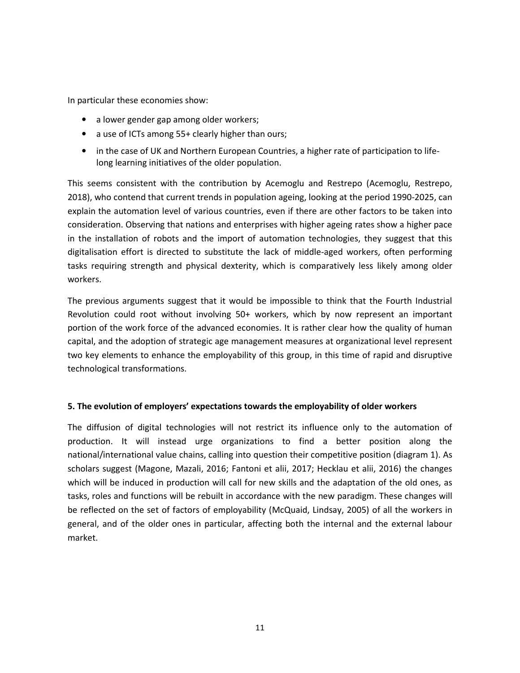In particular these economies show:

- a lower gender gap among older workers;
- a use of ICTs among 55+ clearly higher than ours;
- in the case of UK and Northern European Countries, a higher rate of participation to lifelong learning initiatives of the older population.

This seems consistent with the contribution by Acemoglu and Restrepo (Acemoglu, Restrepo, 2018), who contend that current trends in population ageing, looking at the period 1990-2025, can explain the automation level of various countries, even if there are other factors to be taken into consideration. Observing that nations and enterprises with higher ageing rates show a higher pace in the installation of robots and the import of automation technologies, they suggest that this digitalisation effort is directed to substitute the lack of middle-aged workers, often performing tasks requiring strength and physical dexterity, which is comparatively less likely among older workers.

The previous arguments suggest that it would be impossible to think that the Fourth Industrial Revolution could root without involving 50+ workers, which by now represent an important portion of the work force of the advanced economies. It is rather clear how the quality of human capital, and the adoption of strategic age management measures at organizational level represent two key elements to enhance the employability of this group, in this time of rapid and disruptive technological transformations.

### **5. The evolution of employers' expectations towards the employability of older workers**

The diffusion of digital technologies will not restrict its influence only to the automation of production. It will instead urge organizations to find a better position along the national/international value chains, calling into question their competitive position (diagram 1). As scholars suggest (Magone, Mazali, 2016; Fantoni et alii, 2017; Hecklau et alii, 2016) the changes which will be induced in production will call for new skills and the adaptation of the old ones, as tasks, roles and functions will be rebuilt in accordance with the new paradigm. These changes will be reflected on the set of factors of employability (McQuaid, Lindsay, 2005) of all the workers in general, and of the older ones in particular, affecting both the internal and the external labour market.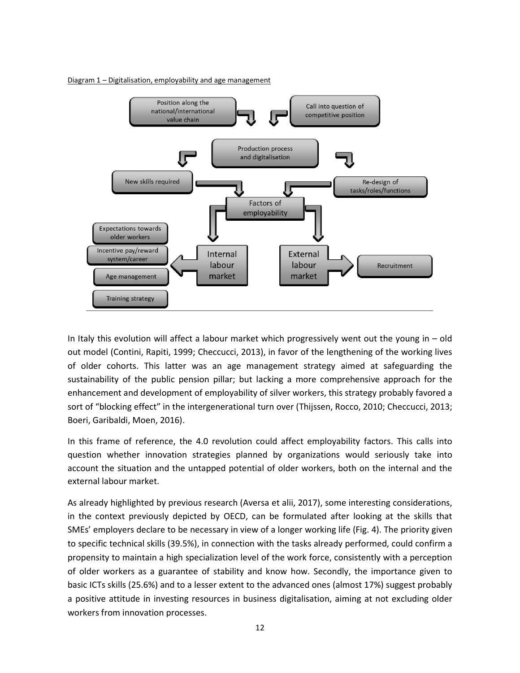Diagram 1 - Digitalisation, employability and age management



In Italy this evolution will affect a labour market which progressively went out the young in – old out model (Contini, Rapiti, 1999; Checcucci, 2013), in favor of the lengthening of the working lives of older cohorts. This latter was an age management strategy aimed at safeguarding the sustainability of the public pension pillar; but lacking a more comprehensive approach for the enhancement and development of employability of silver workers, this strategy probably favored a sort of "blocking effect" in the intergenerational turn over (Thijssen, Rocco, 2010; Checcucci, 2013; Boeri, Garibaldi, Moen, 2016).

In this frame of reference, the 4.0 revolution could affect employability factors. This calls into question whether innovation strategies planned by organizations would seriously take into account the situation and the untapped potential of older workers, both on the internal and the external labour market.

As already highlighted by previous research (Aversa et alii, 2017), some interesting considerations, in the context previously depicted by OECD, can be formulated after looking at the skills that SMEs' employers declare to be necessary in view of a longer working life (Fig. 4). The priority given to specific technical skills (39.5%), in connection with the tasks already performed, could confirm a propensity to maintain a high specialization level of the work force, consistently with a perception of older workers as a guarantee of stability and know how. Secondly, the importance given to basic ICTs skills (25.6%) and to a lesser extent to the advanced ones (almost 17%) suggest probably a positive attitude in investing resources in business digitalisation, aiming at not excluding older workers from innovation processes.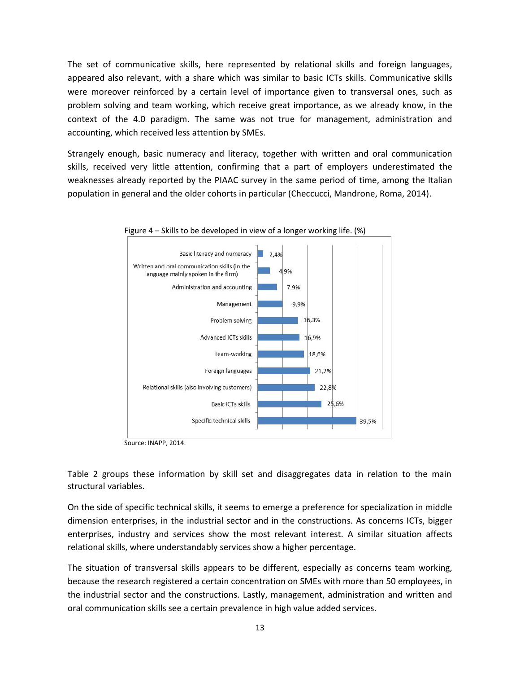The set of communicative skills, here represented by relational skills and foreign languages, appeared also relevant, with a share which was similar to basic ICTs skills. Communicative skills were moreover reinforced by a certain level of importance given to transversal ones, such as problem solving and team working, which receive great importance, as we already know, in the context of the 4.0 paradigm. The same was not true for management, administration and accounting, which received less attention by SMEs.

Strangely enough, basic numeracy and literacy, together with written and oral communication skills, received very little attention, confirming that a part of employers underestimated the weaknesses already reported by the PIAAC survey in the same period of time, among the Italian population in general and the older cohorts in particular (Checcucci, Mandrone, Roma, 2014).





Source: INAPP, 2014.

Table 2 groups these information by skill set and disaggregates data in relation to the main structural variables.

On the side of specific technical skills, it seems to emerge a preference for specialization in middle dimension enterprises, in the industrial sector and in the constructions. As concerns ICTs, bigger enterprises, industry and services show the most relevant interest. A similar situation affects relational skills, where understandably services show a higher percentage.

The situation of transversal skills appears to be different, especially as concerns team working, because the research registered a certain concentration on SMEs with more than 50 employees, in the industrial sector and the constructions. Lastly, management, administration and written and oral communication skills see a certain prevalence in high value added services.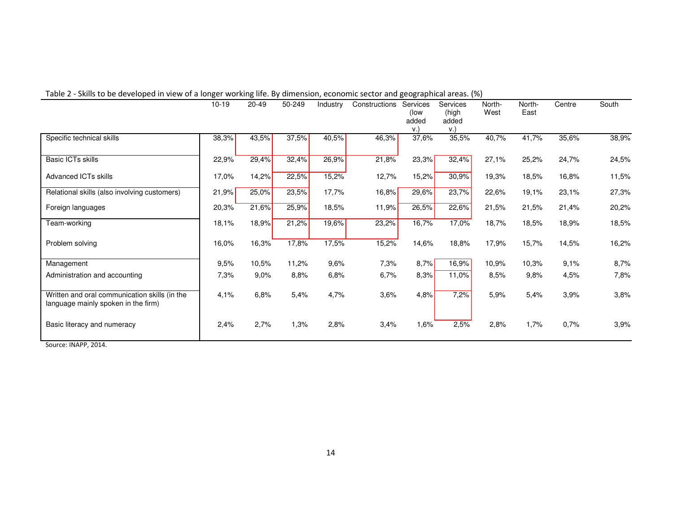|                                                                                      | $10 - 19$ | 20-49 | 50-249 | Industry | Constructions | Services<br>(low<br>added<br>V. | Services<br>(high<br>added<br>v.) | North-<br>West | North-<br>East | Centre | South |
|--------------------------------------------------------------------------------------|-----------|-------|--------|----------|---------------|---------------------------------|-----------------------------------|----------------|----------------|--------|-------|
| Specific technical skills                                                            | 38,3%     | 43,5% | 37,5%  | 40,5%    | 46,3%         | 37,6%                           | 35,5%                             | 40,7%          | 41,7%          | 35,6%  | 38,9% |
| Basic ICTs skills                                                                    | 22,9%     | 29,4% | 32,4%  | 26,9%    | 21,8%         | 23,3%                           | 32,4%                             | 27,1%          | 25,2%          | 24,7%  | 24,5% |
| Advanced ICTs skills                                                                 | 17,0%     | 14,2% | 22,5%  | 15,2%    | 12,7%         | 15,2%                           | 30,9%                             | 19,3%          | 18,5%          | 16,8%  | 11,5% |
| Relational skills (also involving customers)                                         | 21,9%     | 25,0% | 23,5%  | 17,7%    | 16,8%         | 29,6%                           | 23,7%                             | 22,6%          | 19,1%          | 23,1%  | 27,3% |
| Foreign languages                                                                    | 20,3%     | 21,6% | 25,9%  | 18,5%    | 11,9%         | 26,5%                           | 22,6%                             | 21,5%          | 21,5%          | 21,4%  | 20,2% |
| Team-working                                                                         | 18,1%     | 18,9% | 21,2%  | 19,6%    | 23,2%         | 16,7%                           | 17,0%                             | 18,7%          | 18,5%          | 18,9%  | 18,5% |
| Problem solving                                                                      | 16,0%     | 16,3% | 17,8%  | 17,5%    | 15,2%         | 14,6%                           | 18,8%                             | 17,9%          | 15,7%          | 14,5%  | 16,2% |
| Management                                                                           | 9,5%      | 10,5% | 11,2%  | 9,6%     | 7,3%          | 8,7%                            | 16,9%                             | 10,9%          | 10,3%          | 9,1%   | 8,7%  |
| Administration and accounting                                                        | 7,3%      | 9,0%  | 8,8%   | 6,8%     | 6,7%          | 8,3%                            | 11,0%                             | 8,5%           | 9,8%           | 4,5%   | 7,8%  |
| Written and oral communication skills (in the<br>language mainly spoken in the firm) | 4,1%      | 6,8%  | 5,4%   | 4,7%     | 3,6%          | 4,8%                            | 7,2%                              | 5,9%           | 5,4%           | 3,9%   | 3,8%  |
| Basic literacy and numeracy                                                          | 2,4%      | 2,7%  | 1,3%   | 2,8%     | 3,4%          | 1,6%                            | 2,5%                              | 2,8%           | 1,7%           | 0,7%   | 3,9%  |

#### Table 2 - Skills to be developed in view of a longer working life. By dimension, economic sector and geographical areas. (%)

Source: INAPP, 2014.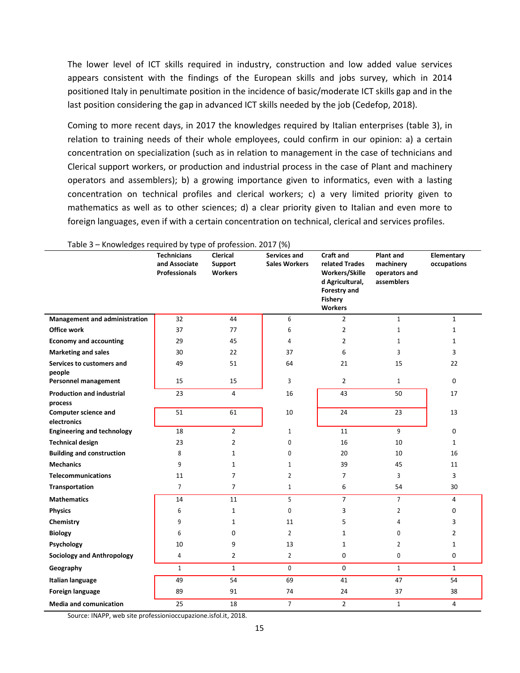The lower level of ICT skills required in industry, construction and low added value services appears consistent with the findings of the European skills and jobs survey, which in 2014 positioned Italy in penultimate position in the incidence of basic/moderate ICT skills gap and in the last position considering the gap in advanced ICT skills needed by the job (Cedefop, 2018).

Coming to more recent days, in 2017 the knowledges required by Italian enterprises (table 3), in relation to training needs of their whole employees, could confirm in our opinion: a) a certain concentration on specialization (such as in relation to management in the case of technicians and Clerical support workers, or production and industrial process in the case of Plant and machinery operators and assemblers); b) a growing importance given to informatics, even with a lasting concentration on technical profiles and clerical workers; c) a very limited priority given to mathematics as well as to other sciences; d) a clear priority given to Italian and even more to foreign languages, even if with a certain concentration on technical, clerical and services profiles.

| 1001C<br>whomicages required by type or profession. 2017 (70) | <b>Technicians</b><br>and Associate<br><b>Professionals</b> | <b>Clerical</b><br><b>Support</b><br><b>Workers</b> | Services and<br><b>Sales Workers</b> | <b>Craft and</b><br>related Trades<br>Workers/Skille<br>d Agricultural,<br>Forestry and<br><b>Fishery</b><br><b>Workers</b> | <b>Plant and</b><br>machinery<br>operators and<br>assemblers | Elementary<br>occupations |
|---------------------------------------------------------------|-------------------------------------------------------------|-----------------------------------------------------|--------------------------------------|-----------------------------------------------------------------------------------------------------------------------------|--------------------------------------------------------------|---------------------------|
| <b>Management and administration</b>                          | 32                                                          | 44                                                  | 6                                    | $\overline{2}$                                                                                                              | $\mathbf{1}$                                                 | $\mathbf{1}$              |
| <b>Office work</b>                                            | 37                                                          | 77                                                  | 6                                    | $\overline{2}$                                                                                                              | $\mathbf{1}$                                                 | $\mathbf{1}$              |
| <b>Economy and accounting</b>                                 | 29                                                          | 45                                                  | 4                                    | $\overline{2}$                                                                                                              | 1                                                            | $\mathbf{1}$              |
| <b>Marketing and sales</b>                                    | 30                                                          | 22                                                  | 37                                   | 6                                                                                                                           | 3                                                            | 3                         |
| Services to customers and<br>people                           | 49                                                          | 51                                                  | 64                                   | 21                                                                                                                          | 15                                                           | 22                        |
| <b>Personnel management</b>                                   | 15                                                          | 15                                                  | 3                                    | $\overline{2}$                                                                                                              | $\mathbf{1}$                                                 | $\mathbf 0$               |
| <b>Production and industrial</b><br>process                   | 23                                                          | 4                                                   | 16                                   | 43                                                                                                                          | 50                                                           | 17                        |
| <b>Computer science and</b><br>electronics                    | 51                                                          | 61                                                  | 10                                   | 24                                                                                                                          | 23                                                           | 13                        |
| <b>Engineering and technology</b>                             | 18                                                          | $\overline{2}$                                      | $\mathbf{1}$                         | 11                                                                                                                          | 9                                                            | $\mathbf 0$               |
| <b>Technical design</b>                                       | 23                                                          | $\overline{2}$                                      | $\mathbf{0}$                         | 16                                                                                                                          | 10                                                           | $\mathbf{1}$              |
| <b>Building and construction</b>                              | 8                                                           | 1                                                   | $\Omega$                             | 20                                                                                                                          | 10                                                           | 16                        |
| <b>Mechanics</b>                                              | 9                                                           | $\mathbf{1}$                                        | 1                                    | 39                                                                                                                          | 45                                                           | 11                        |
| <b>Telecommunications</b>                                     | 11                                                          | 7                                                   | $\overline{2}$                       | 7                                                                                                                           | 3                                                            | 3                         |
| Transportation                                                | $\overline{7}$                                              | $\overline{7}$                                      | 1                                    | 6                                                                                                                           | 54                                                           | 30                        |
| <b>Mathematics</b>                                            | 14                                                          | 11                                                  | 5                                    | $\overline{7}$                                                                                                              | $\overline{7}$                                               | 4                         |
| <b>Physics</b>                                                | 6                                                           | 1                                                   | $\mathbf{0}$                         | 3                                                                                                                           | $\overline{2}$                                               | $\mathbf 0$               |
| Chemistry                                                     | 9                                                           | 1                                                   | 11                                   | 5                                                                                                                           | 4                                                            | 3                         |
| <b>Biology</b>                                                | 6                                                           | 0                                                   | $\overline{2}$                       | 1                                                                                                                           | 0                                                            | $\overline{2}$            |
| Psychology                                                    | 10                                                          | 9                                                   | 13                                   | $\mathbf{1}$                                                                                                                | $\overline{2}$                                               | $\mathbf{1}$              |
| <b>Sociology and Anthropology</b>                             | 4                                                           | $\overline{2}$                                      | $\overline{2}$                       | 0                                                                                                                           | 0                                                            | $\mathbf 0$               |
| Geography                                                     | $\mathbf{1}$                                                | $\mathbf{1}$                                        | $\mathbf 0$                          | $\mathbf 0$                                                                                                                 | $\mathbf{1}$                                                 | $\mathbf{1}$              |
| Italian language                                              | 49                                                          | 54                                                  | 69                                   | 41                                                                                                                          | 47                                                           | 54                        |
| Foreign language                                              | 89                                                          | 91                                                  | 74                                   | 24                                                                                                                          | 37                                                           | 38                        |
| <b>Media and comunication</b>                                 | 25                                                          | 18                                                  | $7^{\circ}$                          | $\overline{2}$                                                                                                              | $\mathbf{1}$                                                 | $\overline{4}$            |

Table 3 – Knowledges required by type of profession. 2017 (%)

Source: INAPP, web site professionioccupazione.isfol.it, 2018.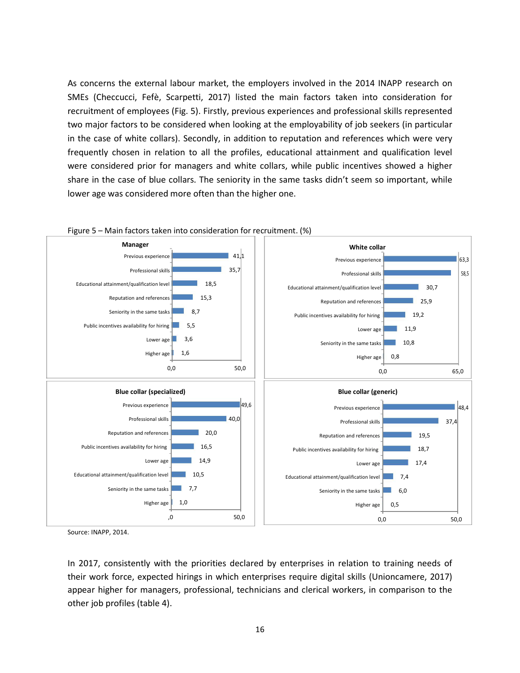As concerns the external labour market, the employers involved in the 2014 INAPP research on SMEs (Checcucci, Fefè, Scarpetti, 2017) listed the main factors taken into consideration for recruitment of employees (Fig. 5). Firstly, previous experiences and professional skills represented two major factors to be considered when looking at the employability of job seekers (in particular in the case of white collars). Secondly, in addition to reputation and references which were very frequently chosen in relation to all the profiles, educational attainment and qualification level were considered prior for managers and white collars, while public incentives showed a higher share in the case of blue collars. The seniority in the same tasks didn't seem so important, while lower age was considered more often than the higher one.



Figure 5 – Main factors taken into consideration for recruitment. (%)

Source: INAPP, 2014.

In 2017, consistently with the priorities declared by enterprises in relation to training needs of their work force, expected hirings in which enterprises require digital skills (Unioncamere, 2017) appear higher for managers, professional, technicians and clerical workers, in comparison to the other job profiles (table 4).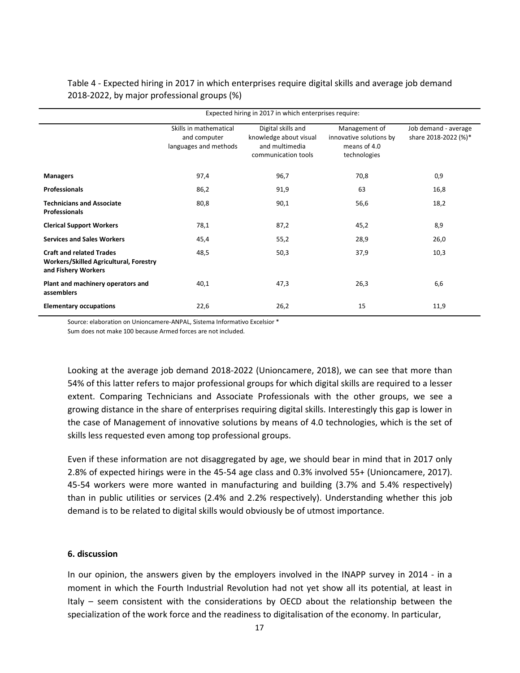Table 4 - Expected hiring in 2017 in which enterprises require digital skills and average job demand 2018-2022, by major professional groups (%)

|                                                                                                         | Expected hiring in 2017 in which enterprises require:           |                                                                                       |                                                                          |                                              |  |  |  |  |
|---------------------------------------------------------------------------------------------------------|-----------------------------------------------------------------|---------------------------------------------------------------------------------------|--------------------------------------------------------------------------|----------------------------------------------|--|--|--|--|
|                                                                                                         | Skills in mathematical<br>and computer<br>languages and methods | Digital skills and<br>knowledge about visual<br>and multimedia<br>communication tools | Management of<br>innovative solutions by<br>means of 4.0<br>technologies | Job demand - average<br>share 2018-2022 (%)* |  |  |  |  |
| <b>Managers</b>                                                                                         | 97,4                                                            | 96,7                                                                                  | 70,8                                                                     | 0,9                                          |  |  |  |  |
| <b>Professionals</b>                                                                                    | 86,2                                                            | 91,9                                                                                  | 63                                                                       | 16,8                                         |  |  |  |  |
| <b>Technicians and Associate</b><br><b>Professionals</b>                                                | 80,8                                                            | 90,1                                                                                  | 56,6                                                                     | 18,2                                         |  |  |  |  |
| <b>Clerical Support Workers</b>                                                                         | 78,1                                                            | 87,2                                                                                  | 45,2                                                                     | 8,9                                          |  |  |  |  |
| <b>Services and Sales Workers</b>                                                                       | 45,4                                                            | 55,2                                                                                  | 28,9                                                                     | 26,0                                         |  |  |  |  |
| <b>Craft and related Trades</b><br><b>Workers/Skilled Agricultural, Forestry</b><br>and Fishery Workers | 48,5                                                            | 50,3                                                                                  | 37,9                                                                     | 10,3                                         |  |  |  |  |
| Plant and machinery operators and<br>assemblers                                                         | 40,1                                                            | 47,3                                                                                  | 26,3                                                                     | 6,6                                          |  |  |  |  |
| <b>Elementary occupations</b>                                                                           | 22,6                                                            | 26,2                                                                                  | 15                                                                       | 11,9                                         |  |  |  |  |

Source: elaboration on Unioncamere-ANPAL, Sistema Informativo Excelsior \*

Sum does not make 100 because Armed forces are not included.

Looking at the average job demand 2018-2022 (Unioncamere, 2018), we can see that more than 54% of this latter refers to major professional groups for which digital skills are required to a lesser extent. Comparing Technicians and Associate Professionals with the other groups, we see a growing distance in the share of enterprises requiring digital skills. Interestingly this gap is lower in the case of Management of innovative solutions by means of 4.0 technologies, which is the set of skills less requested even among top professional groups.

Even if these information are not disaggregated by age, we should bear in mind that in 2017 only 2.8% of expected hirings were in the 45-54 age class and 0.3% involved 55+ (Unioncamere, 2017). 45-54 workers were more wanted in manufacturing and building (3.7% and 5.4% respectively) than in public utilities or services (2.4% and 2.2% respectively). Understanding whether this job demand is to be related to digital skills would obviously be of utmost importance.

#### **6. discussion**

In our opinion, the answers given by the employers involved in the INAPP survey in 2014 - in a moment in which the Fourth Industrial Revolution had not yet show all its potential, at least in Italy – seem consistent with the considerations by OECD about the relationship between the specialization of the work force and the readiness to digitalisation of the economy. In particular,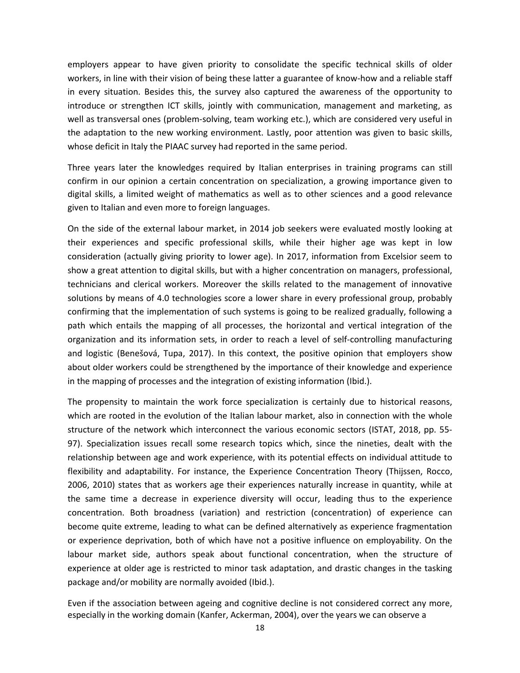employers appear to have given priority to consolidate the specific technical skills of older workers, in line with their vision of being these latter a guarantee of know-how and a reliable staff in every situation. Besides this, the survey also captured the awareness of the opportunity to introduce or strengthen ICT skills, jointly with communication, management and marketing, as well as transversal ones (problem-solving, team working etc.), which are considered very useful in the adaptation to the new working environment. Lastly, poor attention was given to basic skills, whose deficit in Italy the PIAAC survey had reported in the same period.

Three years later the knowledges required by Italian enterprises in training programs can still confirm in our opinion a certain concentration on specialization, a growing importance given to digital skills, a limited weight of mathematics as well as to other sciences and a good relevance given to Italian and even more to foreign languages.

On the side of the external labour market, in 2014 job seekers were evaluated mostly looking at their experiences and specific professional skills, while their higher age was kept in low consideration (actually giving priority to lower age). In 2017, information from Excelsior seem to show a great attention to digital skills, but with a higher concentration on managers, professional, technicians and clerical workers. Moreover the skills related to the management of innovative solutions by means of 4.0 technologies score a lower share in every professional group, probably confirming that the implementation of such systems is going to be realized gradually, following a path which entails the mapping of all processes, the horizontal and vertical integration of the organization and its information sets, in order to reach a level of self-controlling manufacturing and logistic (Benešová, Tupa, 2017). In this context, the positive opinion that employers show about older workers could be strengthened by the importance of their knowledge and experience in the mapping of processes and the integration of existing information (Ibid.).

The propensity to maintain the work force specialization is certainly due to historical reasons, which are rooted in the evolution of the Italian labour market, also in connection with the whole structure of the network which interconnect the various economic sectors (ISTAT, 2018, pp. 55- 97). Specialization issues recall some research topics which, since the nineties, dealt with the relationship between age and work experience, with its potential effects on individual attitude to flexibility and adaptability. For instance, the Experience Concentration Theory (Thijssen, Rocco, 2006, 2010) states that as workers age their experiences naturally increase in quantity, while at the same time a decrease in experience diversity will occur, leading thus to the experience concentration. Both broadness (variation) and restriction (concentration) of experience can become quite extreme, leading to what can be defined alternatively as experience fragmentation or experience deprivation, both of which have not a positive influence on employability. On the labour market side, authors speak about functional concentration, when the structure of experience at older age is restricted to minor task adaptation, and drastic changes in the tasking package and/or mobility are normally avoided (Ibid.).

Even if the association between ageing and cognitive decline is not considered correct any more, especially in the working domain (Kanfer, Ackerman, 2004), over the years we can observe a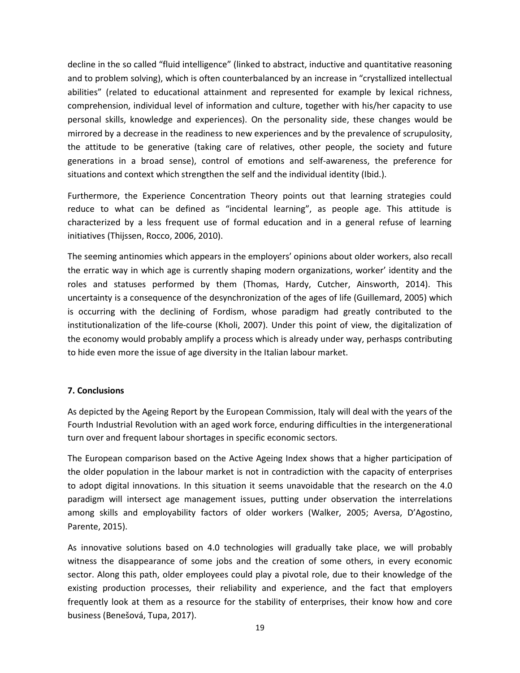decline in the so called "fluid intelligence" (linked to abstract, inductive and quantitative reasoning and to problem solving), which is often counterbalanced by an increase in "crystallized intellectual abilities" (related to educational attainment and represented for example by lexical richness, comprehension, individual level of information and culture, together with his/her capacity to use personal skills, knowledge and experiences). On the personality side, these changes would be mirrored by a decrease in the readiness to new experiences and by the prevalence of scrupulosity, the attitude to be generative (taking care of relatives, other people, the society and future generations in a broad sense), control of emotions and self-awareness, the preference for situations and context which strengthen the self and the individual identity (Ibid.).

Furthermore, the Experience Concentration Theory points out that learning strategies could reduce to what can be defined as "incidental learning", as people age. This attitude is characterized by a less frequent use of formal education and in a general refuse of learning initiatives (Thijssen, Rocco, 2006, 2010).

The seeming antinomies which appears in the employers' opinions about older workers, also recall the erratic way in which age is currently shaping modern organizations, worker' identity and the roles and statuses performed by them (Thomas, Hardy, Cutcher, Ainsworth, 2014). This uncertainty is a consequence of the desynchronization of the ages of life (Guillemard, 2005) which is occurring with the declining of Fordism, whose paradigm had greatly contributed to the institutionalization of the life-course (Kholi, 2007). Under this point of view, the digitalization of the economy would probably amplify a process which is already under way, perhasps contributing to hide even more the issue of age diversity in the Italian labour market.

### **7. Conclusions**

As depicted by the Ageing Report by the European Commission, Italy will deal with the years of the Fourth Industrial Revolution with an aged work force, enduring difficulties in the intergenerational turn over and frequent labour shortages in specific economic sectors.

The European comparison based on the Active Ageing Index shows that a higher participation of the older population in the labour market is not in contradiction with the capacity of enterprises to adopt digital innovations. In this situation it seems unavoidable that the research on the 4.0 paradigm will intersect age management issues, putting under observation the interrelations among skills and employability factors of older workers (Walker, 2005; Aversa, D'Agostino, Parente, 2015).

As innovative solutions based on 4.0 technologies will gradually take place, we will probably witness the disappearance of some jobs and the creation of some others, in every economic sector. Along this path, older employees could play a pivotal role, due to their knowledge of the existing production processes, their reliability and experience, and the fact that employers frequently look at them as a resource for the stability of enterprises, their know how and core business (Benešová, Tupa, 2017).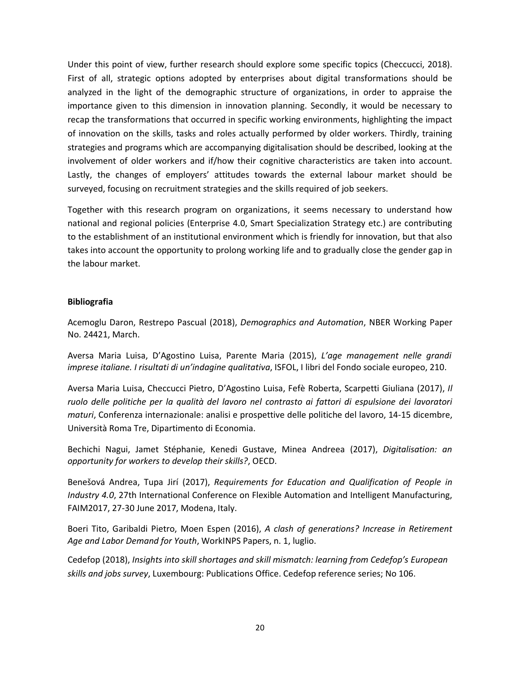Under this point of view, further research should explore some specific topics (Checcucci, 2018). First of all, strategic options adopted by enterprises about digital transformations should be analyzed in the light of the demographic structure of organizations, in order to appraise the importance given to this dimension in innovation planning. Secondly, it would be necessary to recap the transformations that occurred in specific working environments, highlighting the impact of innovation on the skills, tasks and roles actually performed by older workers. Thirdly, training strategies and programs which are accompanying digitalisation should be described, looking at the involvement of older workers and if/how their cognitive characteristics are taken into account. Lastly, the changes of employers' attitudes towards the external labour market should be surveyed, focusing on recruitment strategies and the skills required of job seekers.

Together with this research program on organizations, it seems necessary to understand how national and regional policies (Enterprise 4.0, Smart Specialization Strategy etc.) are contributing to the establishment of an institutional environment which is friendly for innovation, but that also takes into account the opportunity to prolong working life and to gradually close the gender gap in the labour market.

### **Bibliografia**

Acemoglu Daron, Restrepo Pascual (2018), *Demographics and Automation*, NBER Working Paper No. 24421, March.

Aversa Maria Luisa, D'Agostino Luisa, Parente Maria (2015), *L'age management nelle grandi imprese italiane. I risultati di un'indagine qualitativa*, ISFOL, I libri del Fondo sociale europeo, 210.

Aversa Maria Luisa, Checcucci Pietro, D'Agostino Luisa, Fefè Roberta, Scarpetti Giuliana (2017), *Il ruolo delle politiche per la qualità del lavoro nel contrasto ai fattori di espulsione dei lavoratori maturi*, Conferenza internazionale: analisi e prospettive delle politiche del lavoro, 14-15 dicembre, Università Roma Tre, Dipartimento di Economia.

Bechichi Nagui, Jamet Stéphanie, Kenedi Gustave, Minea Andreea (2017), *Digitalisation: an opportunity for workers to develop their skills?*, OECD.

Benešová Andrea, Tupa Jirí (2017), *Requirements for Education and Qualification of People in Industry 4.0*, 27th International Conference on Flexible Automation and Intelligent Manufacturing, FAIM2017, 27-30 June 2017, Modena, Italy.

Boeri Tito, Garibaldi Pietro, Moen Espen (2016), *A clash of generations? Increase in Retirement Age and Labor Demand for Youth*, WorkINPS Papers, n. 1, luglio.

Cedefop (2018), *Insights into skill shortages and skill mismatch: learning from Cedefop's European skills and jobs survey*, Luxembourg: Publications Office. Cedefop reference series; No 106.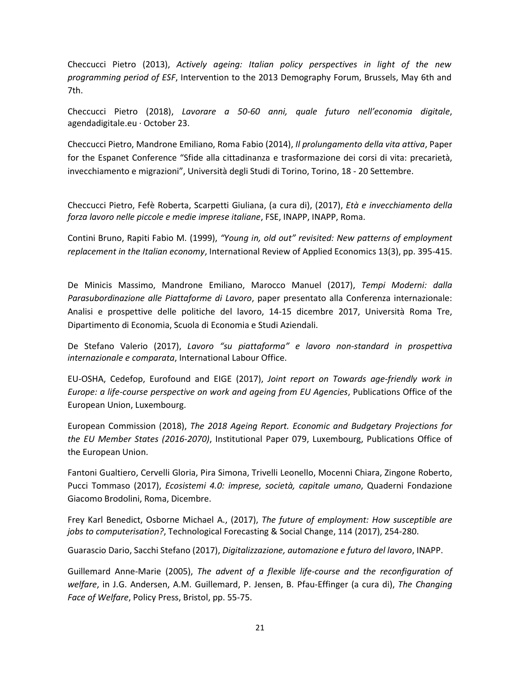Checcucci Pietro (2013), *Actively ageing: Italian policy perspectives in light of the new programming period of ESF*, Intervention to the 2013 Demography Forum, Brussels, May 6th and 7th.

Checcucci Pietro (2018), *Lavorare a 50-60 anni, quale futuro nell'economia digitale*, agendadigitale.eu · October 23.

Checcucci Pietro, Mandrone Emiliano, Roma Fabio (2014), *Il prolungamento della vita attiva*, Paper for the Espanet Conference "Sfide alla cittadinanza e trasformazione dei corsi di vita: precarietà, invecchiamento e migrazioni", Università degli Studi di Torino, Torino, 18 - 20 Settembre.

Checcucci Pietro, Fefè Roberta, Scarpetti Giuliana, (a cura di), (2017), *Età e invecchiamento della forza lavoro nelle piccole e medie imprese italiane*, FSE, INAPP, INAPP, Roma.

Contini Bruno, Rapiti Fabio M. (1999), *"Young in, old out" revisited: New patterns of employment replacement in the Italian economy*, International Review of Applied Economics 13(3), pp. 395-415.

De Minicis Massimo, Mandrone Emiliano, Marocco Manuel (2017), *Tempi Moderni: dalla Parasubordinazione alle Piattaforme di Lavoro*, paper presentato alla Conferenza internazionale: Analisi e prospettive delle politiche del lavoro, 14-15 dicembre 2017, Università Roma Tre, Dipartimento di Economia, Scuola di Economia e Studi Aziendali.

De Stefano Valerio (2017), *Lavoro "su piattaforma" e lavoro non-standard in prospettiva internazionale e comparata*, International Labour Office.

EU-OSHA, Cedefop, Eurofound and EIGE (2017), *Joint report on Towards age-friendly work in Europe: a life-course perspective on work and ageing from EU Agencies*, Publications Office of the European Union, Luxembourg.

European Commission (2018), *The 2018 Ageing Report. Economic and Budgetary Projections for the EU Member States (2016-2070)*, Institutional Paper 079, Luxembourg, Publications Office of the European Union.

Fantoni Gualtiero, Cervelli Gloria, Pira Simona, Trivelli Leonello, Mocenni Chiara, Zingone Roberto, Pucci Tommaso (2017), *Ecosistemi 4.0: imprese, società, capitale umano*, Quaderni Fondazione Giacomo Brodolini, Roma, Dicembre.

Frey Karl Benedict, Osborne Michael A., (2017), *The future of employment: How susceptible are jobs to computerisation?*, Technological Forecasting & Social Change, 114 (2017), 254-280.

Guarascio Dario, Sacchi Stefano (2017), *Digitalizzazione, automazione e futuro del lavoro*, INAPP.

Guillemard Anne-Marie (2005), *The advent of a flexible life-course and the reconfiguration of welfare*, in J.G. Andersen, A.M. Guillemard, P. Jensen, B. Pfau-Effinger (a cura di), *The Changing Face of Welfare*, Policy Press, Bristol, pp. 55-75.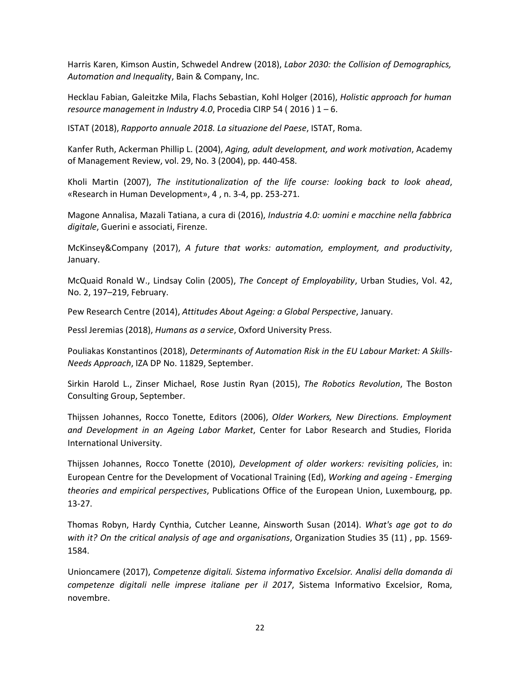Harris Karen, Kimson Austin, Schwedel Andrew (2018), *Labor 2030: the Collision of Demographics, Automation and Inequalit*y, Bain & Company, Inc.

Hecklau Fabian, Galeitzke Mila, Flachs Sebastian, Kohl Holger (2016), *Holistic approach for human resource management in Industry 4.0*, Procedia CIRP 54 ( 2016 ) 1 – 6.

ISTAT (2018), *Rapporto annuale 2018. La situazione del Paese*, ISTAT, Roma.

Kanfer Ruth, Ackerman Phillip L. (2004), *Aging, adult development, and work motivation*, Academy of Management Review, vol. 29, No. 3 (2004), pp. 440-458.

Kholi Martin (2007), *The institutionalization of the life course: looking back to look ahead*, «Research in Human Development», 4 , n. 3-4, pp. 253-271.

Magone Annalisa, Mazali Tatiana, a cura di (2016), *Industria 4.0: uomini e macchine nella fabbrica digitale*, Guerini e associati, Firenze.

McKinsey&Company (2017), *A future that works: automation, employment, and productivity*, January.

McQuaid Ronald W., Lindsay Colin (2005), *The Concept of Employability*, Urban Studies, Vol. 42, No. 2, 197–219, February.

Pew Research Centre (2014), *Attitudes About Ageing: a Global Perspective*, January.

Pessl Jeremias (2018), *Humans as a service*, Oxford University Press.

Pouliakas Konstantinos (2018), *Determinants of Automation Risk in the EU Labour Market: A Skills-Needs Approach*, IZA DP No. 11829, September.

Sirkin Harold L., Zinser Michael, Rose Justin Ryan (2015), *The Robotics Revolution*, The Boston Consulting Group, September.

Thijssen Johannes, Rocco Tonette, Editors (2006), *Older Workers, New Directions. Employment and Development in an Ageing Labor Market*, Center for Labor Research and Studies, Florida International University.

Thijssen Johannes, Rocco Tonette (2010), *Development of older workers: revisiting policies*, in: European Centre for the Development of Vocational Training (Ed), *Working and ageing - Emerging theories and empirical perspectives*, Publications Office of the European Union, Luxembourg, pp. 13-27.

Thomas Robyn, Hardy Cynthia, Cutcher Leanne, Ainsworth Susan (2014). *What's age got to do with it? On the critical analysis of age and organisations*, Organization Studies 35 (11) , pp. 1569- 1584.

Unioncamere (2017), *Competenze digitali. Sistema informativo Excelsior. Analisi della domanda di competenze digitali nelle imprese italiane per il 2017*, Sistema Informativo Excelsior, Roma, novembre.